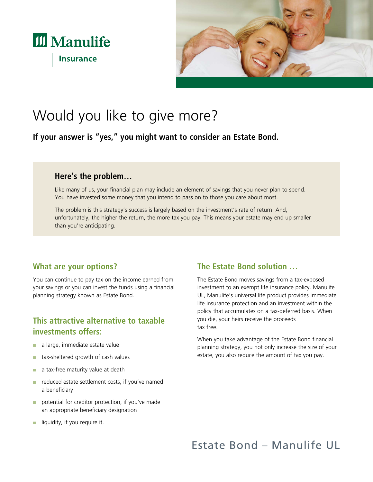



# Would you like to give more?

**If your answer is "yes," you might want to consider an Estate Bond.**

#### **Here's the problem…**

Like many of us, your financial plan may include an element of savings that you never plan to spend. You have invested some money that you intend to pass on to those you care about most.

The problem is this strategy's success is largely based on the investment's rate of return. And, unfortunately, the higher the return, the more tax you pay. This means your estate may end up smaller than you're anticipating.

#### **What are your options?**

You can continue to pay tax on the income earned from your savings or you can invest the funds using a financial planning strategy known as Estate Bond.

## **This attractive alternative to taxable investments offers:**

- a large, immediate estate value **The Co**
- tax-sheltered growth of cash values **The State**
- a tax-free maturity value at death п
- reduced estate settlement costs, if you've named **The Contract of the Contract of the Contract of the Contract of the Contract of the Contract of the Contract of the Contract of the Contract of the Contract of the Contract of the Contract of the Contract of the Contract** a beneficiary
- potential for creditor protection, if you've made an appropriate beneficiary designation
- $\blacksquare$  liquidity, if you require it.

## **The Estate Bond solution …**

The Estate Bond moves savings from a tax-exposed investment to an exempt life insurance policy. Manulife UL, Manulife's universal life product provides immediate life insurance protection and an investment within the policy that accumulates on a tax-deferred basis. When you die, your heirs receive the proceeds tax free.

When you take advantage of the Estate Bond financial planning strategy, you not only increase the size of your estate, you also reduce the amount of tax you pay.